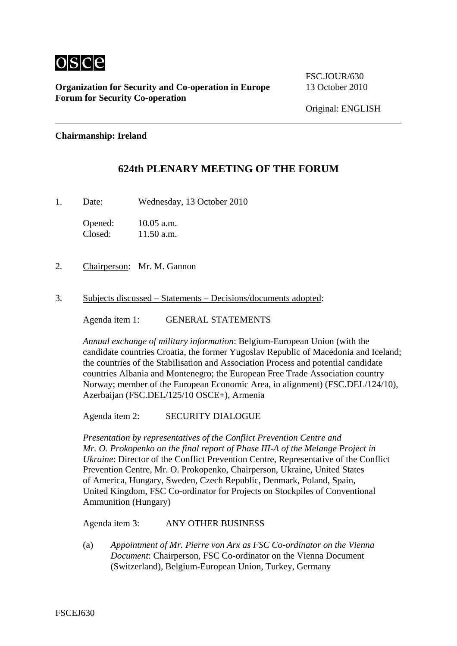

**Organization for Security and Co-operation in Europe** 13 October 2010 **Forum for Security Co-operation**

FSC.JOUR/630

## **Chairmanship: Ireland**

## **624th PLENARY MEETING OF THE FORUM**

1. Date: Wednesday, 13 October 2010

Opened: 10.05 a.m. Closed: 11.50 a.m.

- 2. Chairperson: Mr. M. Gannon
- 3. Subjects discussed Statements Decisions/documents adopted:

Agenda item 1: GENERAL STATEMENTS

*Annual exchange of military information*: Belgium-European Union (with the candidate countries Croatia, the former Yugoslav Republic of Macedonia and Iceland; the countries of the Stabilisation and Association Process and potential candidate countries Albania and Montenegro; the European Free Trade Association country Norway; member of the European Economic Area, in alignment) (FSC.DEL/124/10), Azerbaijan (FSC.DEL/125/10 OSCE+), Armenia

Agenda item 2: SECURITY DIALOGUE

*Presentation by representatives of the Conflict Prevention Centre and Mr. O. Prokopenko on the final report of Phase III-A of the Melange Project in Ukraine*: Director of the Conflict Prevention Centre, Representative of the Conflict Prevention Centre, Mr. O. Prokopenko, Chairperson, Ukraine, United States of America, Hungary, Sweden, Czech Republic, Denmark, Poland, Spain, United Kingdom, FSC Co-ordinator for Projects on Stockpiles of Conventional Ammunition (Hungary)

Agenda item 3: ANY OTHER BUSINESS

(a) *Appointment of Mr. Pierre von Arx as FSC Co-ordinator on the Vienna Document*: Chairperson, FSC Co-ordinator on the Vienna Document (Switzerland), Belgium-European Union, Turkey, Germany